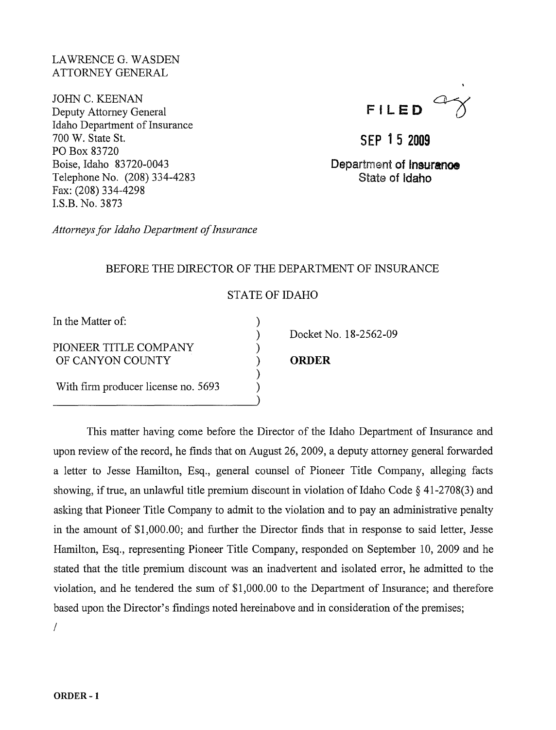### LAWRENCE G. WASDEN ATTORNEY GENERAL

JOHN C. KEENAN Deputy Attorney General Idaho Department of Insurance 700 W. State St. PO Box 83720 Boise, Idaho 83720-0043 Telephone No. (208) 334-4283 Fax: (208) 334-4298 I.S.B. No. 3873

**FILED** a-a

**SEP 1 5 2009** 

Department of **Insurance** State of **Idaho** 

*Attorneys for Idaho Department of Insurance* 

### BEFORE THE DIRECTOR OF THE DEPARTMENT OF INSURANCE

# STATE OF IDAHO

) ) ) ) ) ) )

In the Matter of:

#### PIONEER TITLE COMPANY OF CANYON COUNTY

With firm producer license no. 5693

Docket No. 18-2562-09

## **ORDER**

This matter having come before the Director of the Idaho Department of Insurance and upon review of the record, he finds that on August 26,2009, a deputy attorney general forwarded a letter to Jesse Hamilton, Esq., general counsel of Pioneer Title Company, alleging facts showing, if true, an unlawful title premium discount in violation of Idaho Code  $\S$  41-2708(3) and asking that Pioneer Title Company to admit to the violation and to pay an administrative penalty in the amount of \$1,000.00; and further the Director finds that in response to said letter, Jesse Hamilton, Esq., representing Pioneer Title Company, responded on September 10, 2009 and he stated that the title premium discount was an inadvertent and isolated error, he admitted to the violation, and he tendered the sum of \$1,000.00 to the Department of Insurance; and therefore based upon the Director's findings noted hereinabove and in consideration of the premises; /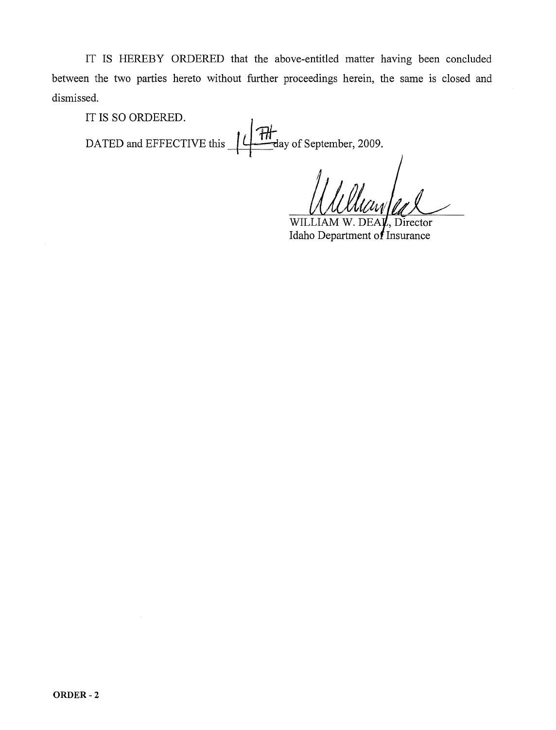IT IS HEREBY ORDERED that the above-entitled matter having been concluded between the two parties hereto without further proceedings herein, the same is closed and dismissed.

IT IS SO ORDERED.

DATED and EFFECTIVE this  $+$ **/**  $+$ *H*<sup>*H*</sup> $=$ day of September, 2009.

WILLIAM W. DEAL, Director Idaho Department of Insurance

l,